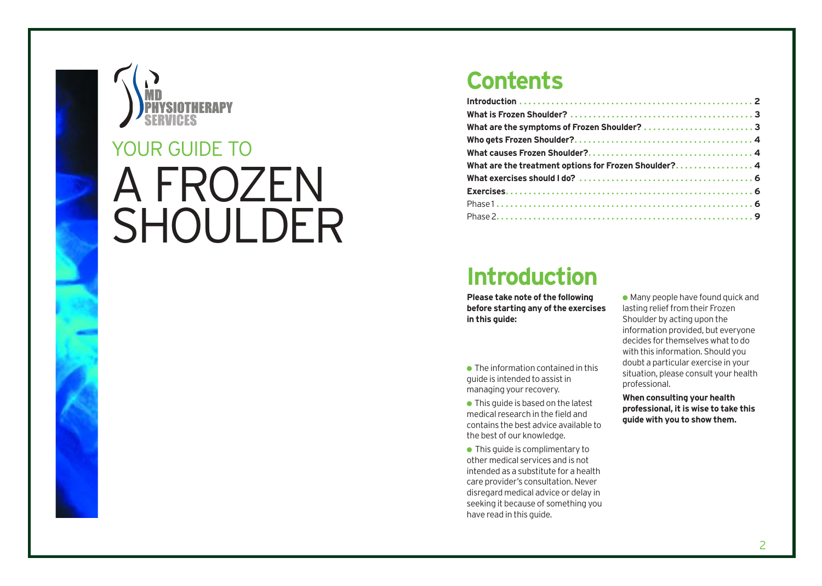

# A FROZEN SHOULDER YOUR GUIDE TO

### **Contents**

| What are the treatment options for Frozen Shoulder? 4 |
|-------------------------------------------------------|
|                                                       |
|                                                       |
|                                                       |
|                                                       |

## **Introduction**

**Please take note of the following before starting any of the exercises in this guide:**

 $\bullet$  The information contained in this guide is intended to assist in managing your recovery.

● This guide is based on the latest medical research in the field and contains the best advice available to the best of our knowledge.

● This guide is complimentary to other medical services and is not intended as a substitute for a health care provider's consultation. Never disregard medical advice or delay in seeking it because of something you have read in this guide.

 $\bullet$  Many people have found quick and lasting relief from their Frozen Shoulder by acting upon the information provided, but everyone decides for themselves what to do with this information. Should you doubt a particular exercise in your situation, please consult your health professional.

**When consulting your health professional, it is wise to take this guide with you to show them.**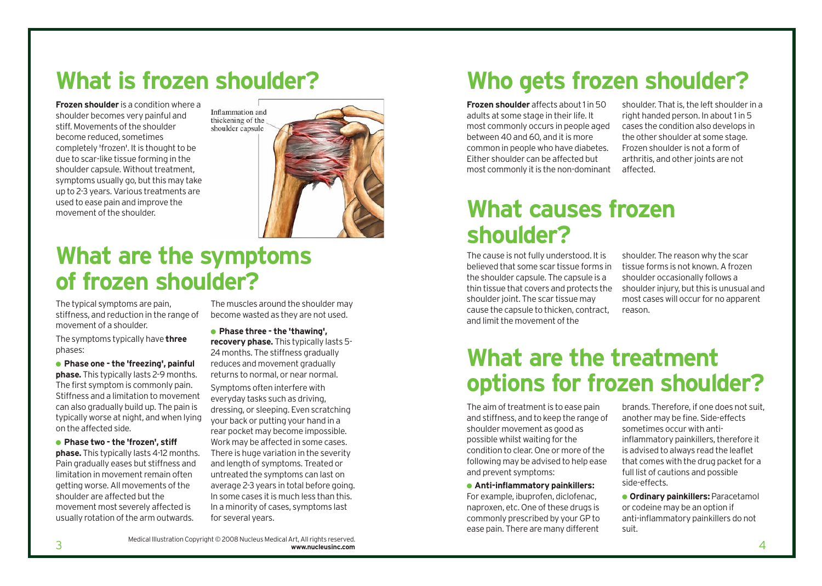## **What is frozen shoulder?**

**Frozen shoulder** is a condition where a shoulder becomes very painful and stiff. Movements of the shoulder become reduced, sometimes completely 'frozen'. It is thought to be due to scar-like tissue forming in the shoulder capsule. Without treatment, symptoms usually go, but this may take up to 2-3 years. Various treatments are used to ease pain and improve the movement of the shoulder.



## **What are the symptoms of frozen shoulder?**

The typical symptoms are pain, stiffness, and reduction in the range of movement of a shoulder.

The symptoms typically have **three** phases:

● **Phase one - the 'freezing', painful phase.** This typically lasts 2-9 months. The first symptom is commonly pain. Stiffness and a limitation to movement can also gradually build up. The pain is typically worse at night, and when lying on the affected side.

● **Phase two - the 'frozen', stiff phase.** This typically lasts 4-12 months. Pain gradually eases but stiffness and limitation in movement remain often getting worse. All movements of the shoulder are affected but the movement most severely affected is usually rotation of the arm outwards.

The muscles around the shoulder may become wasted as they are not used.

● **Phase three - the 'thawing', recovery phase.** This typically lasts 5- 24 months. The stiffness gradually reduces and movement gradually returns to normal, or near normal.

Symptoms often interfere with everyday tasks such as driving, dressing, or sleeping. Even scratching your back or putting your hand in a rear pocket may become impossible. Work may be affected in some cases. There is huge variation in the severity and length of symptoms. Treated or untreated the symptoms can last on average 2-3 years in total before going. In some cases it is much less than this. In a minority of cases, symptoms last for several years.

## **Who gets frozen shoulder?**

**Frozen shoulder** affects about 1 in 50 adults at some stage in their life. It most commonly occurs in people aged between 40 and 60, and it is more common in people who have diabetes. Either shoulder can be affected but most commonly it is the non-dominant

shoulder. That is, the left shoulder in a right handed person. In about 1 in 5 cases the condition also develops in the other shoulder at some stage. Frozen shoulder is not a form of arthritis, and other joints are not affected.

## **What causes frozen shoulder?**

The cause is not fully understood. It is believed that some scar tissue forms in the shoulder capsule. The capsule is a thin tissue that covers and protects the shoulder joint. The scar tissue may cause the capsule to thicken, contract, and limit the movement of the

shoulder. The reason why the scar tissue forms is not known. A frozen shoulder occasionally follows a shoulder injury, but this is unusual and most cases will occur for no apparent reason.

## **What are the treatment options for frozen shoulder?**

The aim of treatment is to ease pain and stiffness, and to keep the range of shoulder movement as good as possible whilst waiting for the condition to clear. One or more of the following may be advised to help ease and prevent symptoms:

● **Anti-inflammatory painkillers:** For example, ibuprofen, diclofenac, naproxen, etc. One of these drugs is commonly prescribed by your GP to ease pain. There are many different

brands. Therefore, if one does not suit, another may be fine. Side-effects sometimes occur with antiinflammatory painkillers, therefore it is advised to always read the leaflet that comes with the drug packet for a full list of cautions and possible side-effects.

● **Ordinary painkillers:** Paracetamol or codeine may be an option if anti-inflammatory painkillers do not suit.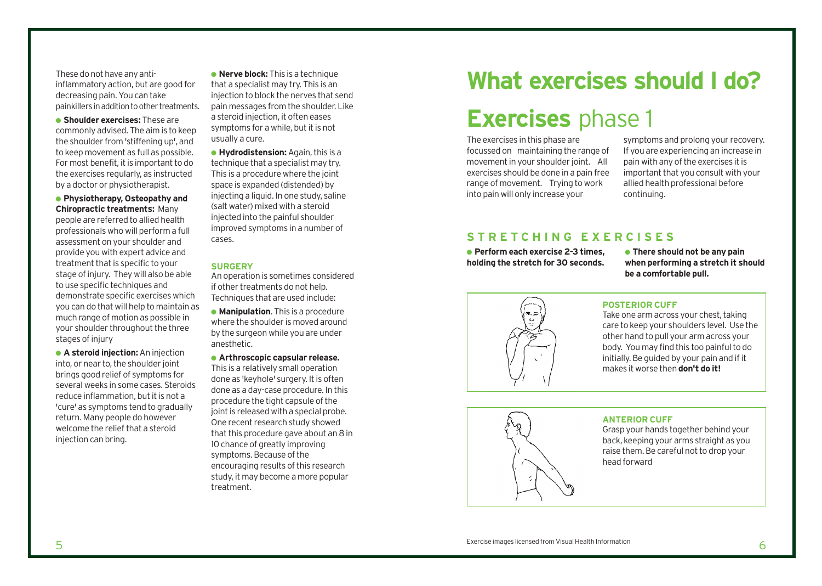These do not have any antiinflammatory action, but are good for decreasing pain. You can take painkillers in addition to other treatments.

● **Shoulder exercises:** These are commonly advised. The aim is to keep the shoulder from 'stiffening up', and to keep movement as full as possible. For most benefit, it is important to do the exercises regularly, as instructed by a doctor or physiotherapist.

● **Physiotherapy, Osteopathy and Chiropractic treatments:** Many people are referred to allied health professionals who will perform a full assessment on your shoulder and provide you with expert advice and treatment that is specific to your stage of injury. They will also be able to use specific techniques and demonstrate specific exercises which you can do that will help to maintain as much range of motion as possible in your shoulder throughout the three stages of injury

● **A steroid injection:**An injection into, or near to, the shoulder joint brings good relief of symptoms for several weeks in some cases. Steroids reduce inflammation, but it is not a 'cure' as symptoms tend to gradually return. Many people do however welcome the relief that a steroid injection can bring.

● **Nerve block:** This is a technique that a specialist may try. This is an injection to block the nerves that send pain messages from the shoulder. Like a steroid injection, it often eases symptoms for a while, but it is not usually a cure.

● **Hydrodistension:**Again, this is a technique that a specialist may try. This is a procedure where the joint space is expanded (distended) by injecting a liquid. In one study, saline (salt water) mixed with a steroid injected into the painful shoulder improved symptoms in a number of cases.

#### **SURGERY**

An operation is sometimes considered if other treatments do not help. Techniques that are used include:

● **Manipulation**. This is a procedure where the shoulder is moved around by the surgeon while you are under anesthetic.

● **Arthroscopic capsular release.** This is a relatively small operation done as 'keyhole' surgery. It is often done as a day-case procedure. In this procedure the tight capsule of the joint is released with a special probe. One recent research study showed that this procedure gave about an 8 in 10 chance of greatly improving symptoms. Because of the encouraging results of this research study, it may become a more popular treatment.

### **What exercises should I do?**

### **Exercises** phase 1

The exercises in this phase are focussed on maintaining the range of movement in your shoulder joint. All exercises should be done in a pain free range of movement. Trying to work into pain will only increase your

symptoms and prolong your recovery. If you are experiencing an increase in pain with any of the exercises it is important that you consult with your allied health professional before continuing.

### **STRETCHING EXERCISES**

● **Perform each exercise 2-3 times, holding the stretch for 30 seconds.** 

● **There should not be any pain when performing a stretch it should be a comfortable pull.**



#### **POSTERIOR CUFF**

Take one arm across your chest, taking care to keep your shoulders level. Use the other hand to pull your arm across your body. You may find this too painful to do initially. Be guided by your pain and if it makes it worse then **don't do it!**



#### **ANTERIOR CUFF**

Grasp your hands together behind your back, keeping your arms straight as you raise them. Be careful not to drop your head forward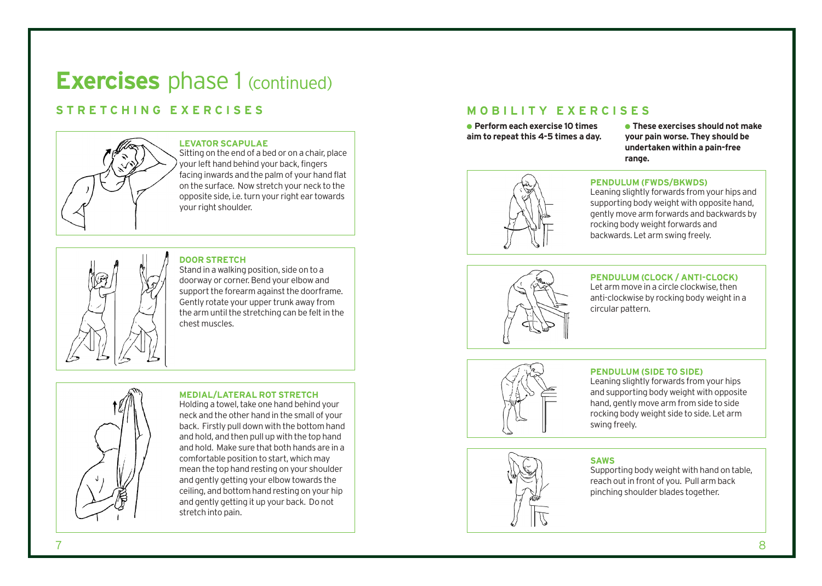### **Exercises** phase 1 (continued)

### **STRETCHING EXERCISES**



#### **LEVATOR SCAPULAE**

Sitting on the end of a bed or on a chair, place your left hand behind your back, fingers facing inwards and the palm of your hand flat on the surface. Now stretch your neck to the opposite side, i.e. turn your right ear towards your right shoulder.



### **DOOR STRETCH**

Stand in a walking position, side on to a doorway or corner. Bend your elbow and support the forearm against the doorframe. Gently rotate your upper trunk away from the arm until the stretching can be felt in the chest muscles.



#### **MEDIAL/LATERAL ROT STRETCH**

Holding a towel, take one hand behind your neck and the other hand in the small of your back. Firstly pull down with the bottom hand and hold, and then pull up with the top hand and hold. Make sure that both hands are in a comfortable position to start, which may mean the top hand resting on your shoulder and gently getting your elbow towards the ceiling, and bottom hand resting on your hip and gently getting it up your back. Do not stretch into pain.

### **MOBILITY EXERCISES**

● **Perform each exercise 10 times aim to repeat this 4-5 times a day.**

● **These exercises should not make your pain worse. They should be undertaken within a pain-free range.**



#### **PENDULUM (FWDS/BKWDS)**

Leaning slightly forwards from your hips and supporting body weight with opposite hand, gently move arm forwards and backwards by rocking body weight forwards and backwards. Let arm swing freely.



### **PENDULUM (CLOCK / ANTI-CLOCK)**

Let arm move in a circle clockwise, then anti-clockwise by rocking body weight in a circular pattern.



#### **PENDULUM (SIDE TO SIDE)**

Leaning slightly forwards from your hips and supporting body weight with opposite hand, gently move arm from side to side rocking body weight side to side. Let arm swing freely.



#### **SAWS**

Supporting body weight with hand on table, reach out in front of you. Pull arm back pinching shoulder blades together.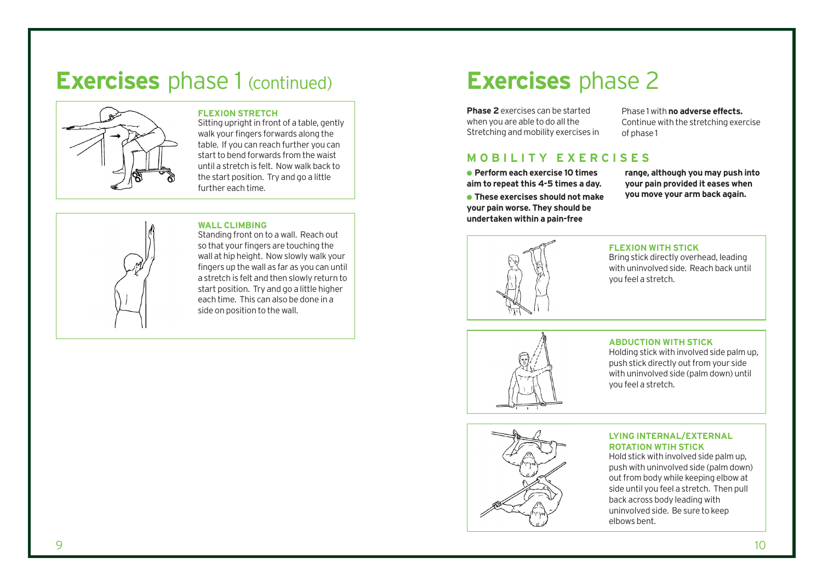### **Exercises** phase 1 (continued)



#### **FLEXION STRETCH**

Sitting upright in front of a table, gently walk your fingers forwards along the table. If you can reach further you can start to bend forwards from the waist until a stretch is felt. Now walk back to the start position. Try and go a little further each time.

#### WALL CLIMBING Standing front on to a wall. Reach out

so that your fingers are touching the wall at hip height. Now slowly walk your fingers up the wall as far as you can until a stretch is felt and then slowly return to start position. Try and go a little higher each time. This can also be done in a side on position to the wall.

### **Exercises** phase 2

**Phase 2** exercises can be started when you are able to do all the Stretching and mobility exercises in

Phase 1 with **no adverse effects.** Continue with the stretching exercise of phase 1

### **MOBILITY EXERCISES**

● **Perform each exercise 10 times aim to repeat this 4-5 times a day.**

● **These exercises should not make your pain worse. They should be undertaken within a pain-free**

**range, although you may push into your pain provided it eases when you move your arm back again.**



#### **FLEXION WITH STICK**

Bring stick directly overhead, leading with uninvolved side. Reach back until you feel a stretch.



#### **ABDUCTION WITH STICK**

Holding stick with involved side palm up, push stick directly out from your side with uninvolved side (palm down) until you feel a stretch.



#### **LYING INTERNAL/EXTERNAL ROTATION WTIH STICK**

Hold stick with involved side palm up, push with uninvolved side (palm down) out from body while keeping elbow at side until you feel a stretch. Then pull back across body leading with uninvolved side. Be sure to keep elbows bent.